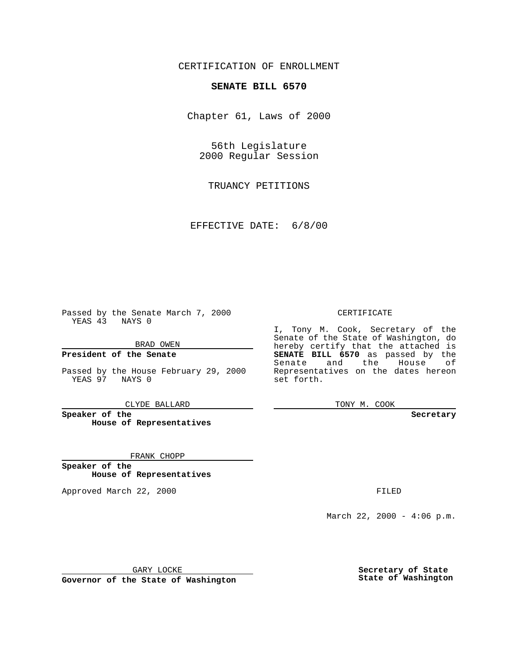### CERTIFICATION OF ENROLLMENT

# **SENATE BILL 6570**

Chapter 61, Laws of 2000

56th Legislature 2000 Regular Session

TRUANCY PETITIONS

EFFECTIVE DATE: 6/8/00

Passed by the Senate March 7, 2000 YEAS 43 NAYS 0

BRAD OWEN

**President of the Senate**

Passed by the House February 29, 2000 YEAS 97 NAYS 0

CLYDE BALLARD

**Speaker of the House of Representatives**

FRANK CHOPP

**Speaker of the House of Representatives**

Approved March 22, 2000 FILED

#### CERTIFICATE

I, Tony M. Cook, Secretary of the Senate of the State of Washington, do hereby certify that the attached is **SENATE BILL 6570** as passed by the Senate and the House of Representatives on the dates hereon set forth.

TONY M. COOK

**Secretary**

March 22, 2000 - 4:06 p.m.

GARY LOCKE

**Governor of the State of Washington**

**Secretary of State State of Washington**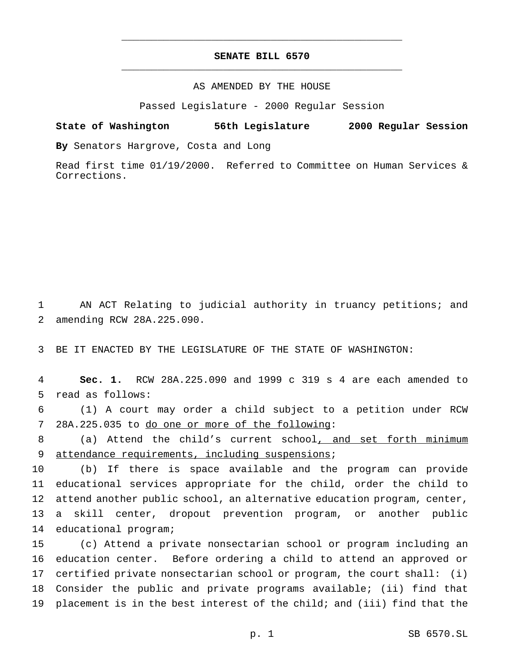## **SENATE BILL 6570** \_\_\_\_\_\_\_\_\_\_\_\_\_\_\_\_\_\_\_\_\_\_\_\_\_\_\_\_\_\_\_\_\_\_\_\_\_\_\_\_\_\_\_\_\_\_\_

\_\_\_\_\_\_\_\_\_\_\_\_\_\_\_\_\_\_\_\_\_\_\_\_\_\_\_\_\_\_\_\_\_\_\_\_\_\_\_\_\_\_\_\_\_\_\_

### AS AMENDED BY THE HOUSE

Passed Legislature - 2000 Regular Session

#### **State of Washington 56th Legislature 2000 Regular Session**

**By** Senators Hargrove, Costa and Long

Read first time 01/19/2000. Referred to Committee on Human Services & Corrections.

 AN ACT Relating to judicial authority in truancy petitions; and amending RCW 28A.225.090.

BE IT ENACTED BY THE LEGISLATURE OF THE STATE OF WASHINGTON:

 **Sec. 1.** RCW 28A.225.090 and 1999 c 319 s 4 are each amended to read as follows:

 (1) A court may order a child subject to a petition under RCW 28A.225.035 to do one or more of the following:

 (a) Attend the child's current school, and set forth minimum 9 attendance requirements, including suspensions;

 (b) If there is space available and the program can provide educational services appropriate for the child, order the child to attend another public school, an alternative education program, center, a skill center, dropout prevention program, or another public educational program;

 (c) Attend a private nonsectarian school or program including an education center. Before ordering a child to attend an approved or certified private nonsectarian school or program, the court shall: (i) Consider the public and private programs available; (ii) find that placement is in the best interest of the child; and (iii) find that the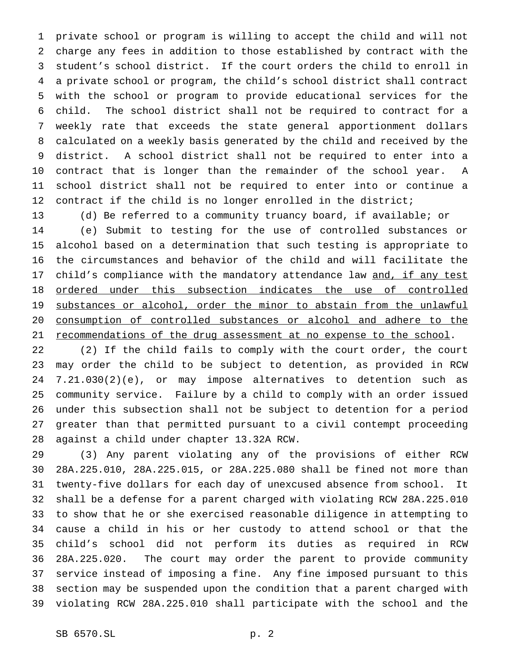private school or program is willing to accept the child and will not charge any fees in addition to those established by contract with the student's school district. If the court orders the child to enroll in a private school or program, the child's school district shall contract with the school or program to provide educational services for the child. The school district shall not be required to contract for a weekly rate that exceeds the state general apportionment dollars calculated on a weekly basis generated by the child and received by the district. A school district shall not be required to enter into a contract that is longer than the remainder of the school year. A school district shall not be required to enter into or continue a 12 contract if the child is no longer enrolled in the district;

 (d) Be referred to a community truancy board, if available; or (e) Submit to testing for the use of controlled substances or alcohol based on a determination that such testing is appropriate to the circumstances and behavior of the child and will facilitate the 17 child's compliance with the mandatory attendance law and, if any test ordered under this subsection indicates the use of controlled 19 substances or alcohol, order the minor to abstain from the unlawful consumption of controlled substances or alcohol and adhere to the 21 recommendations of the drug assessment at no expense to the school.

 (2) If the child fails to comply with the court order, the court may order the child to be subject to detention, as provided in RCW 7.21.030(2)(e), or may impose alternatives to detention such as community service. Failure by a child to comply with an order issued under this subsection shall not be subject to detention for a period greater than that permitted pursuant to a civil contempt proceeding against a child under chapter 13.32A RCW.

 (3) Any parent violating any of the provisions of either RCW 28A.225.010, 28A.225.015, or 28A.225.080 shall be fined not more than twenty-five dollars for each day of unexcused absence from school. It shall be a defense for a parent charged with violating RCW 28A.225.010 to show that he or she exercised reasonable diligence in attempting to cause a child in his or her custody to attend school or that the child's school did not perform its duties as required in RCW 28A.225.020. The court may order the parent to provide community service instead of imposing a fine. Any fine imposed pursuant to this section may be suspended upon the condition that a parent charged with violating RCW 28A.225.010 shall participate with the school and the